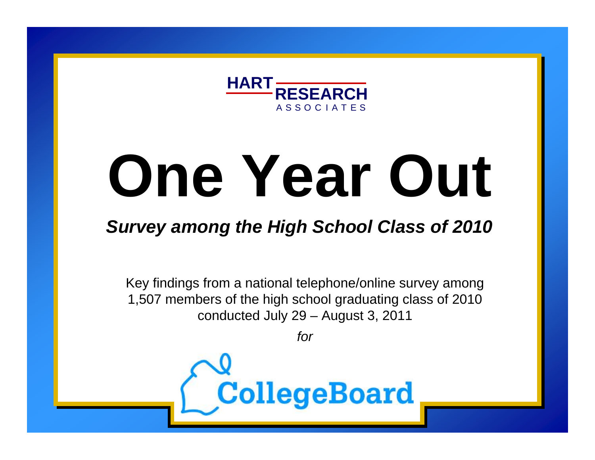

# **One Year Out**

# *Survey among the High School Class of 2010*

Key findings from a national telephone/online survey among 1,507 members of the high school graduating class of 2010 conducted July 29 – August 3, 2011

*for*

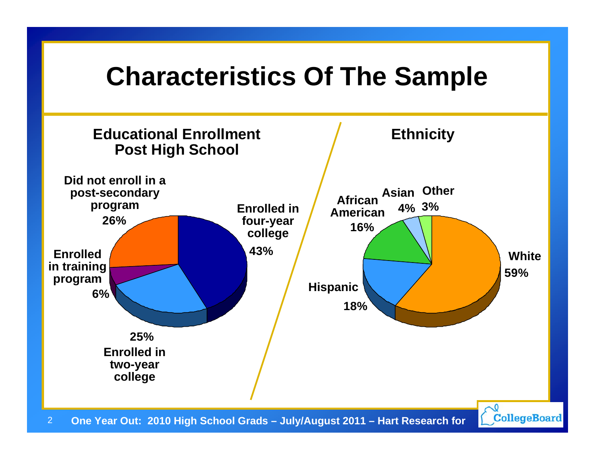# **Characteristics Of The Sample**

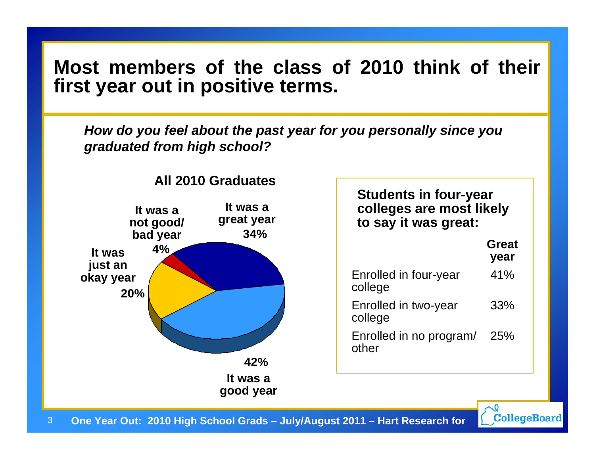#### **Most members of the class of 2010 think of their first year out in positive terms.**

*How do you feel about the past year for you personally since you graduated from high school?* 



**All 2010 Graduates**

| <b>Students in four-year</b><br>colleges are most likely<br>to say it was great: |                      |  |  |  |
|----------------------------------------------------------------------------------|----------------------|--|--|--|
|                                                                                  | <b>Great</b><br>year |  |  |  |
| Enrolled in four-year<br>college                                                 | 41%                  |  |  |  |
| Enrolled in two-year<br>college                                                  | 33%                  |  |  |  |
| Enrolled in no program/<br>other                                                 | 25%                  |  |  |  |

3**One Year Out: 2010 High School Grads – July/August 2011 – Hart Research for**  CollegeBoard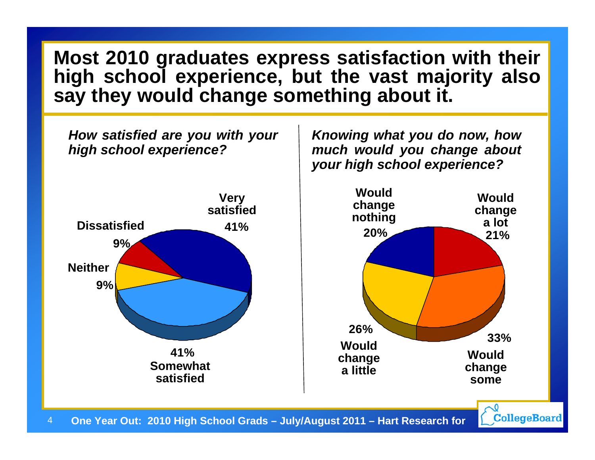#### **Most 2010 graduates express satisfaction with their high school experience, but the vast majority also say they would change something about it.**

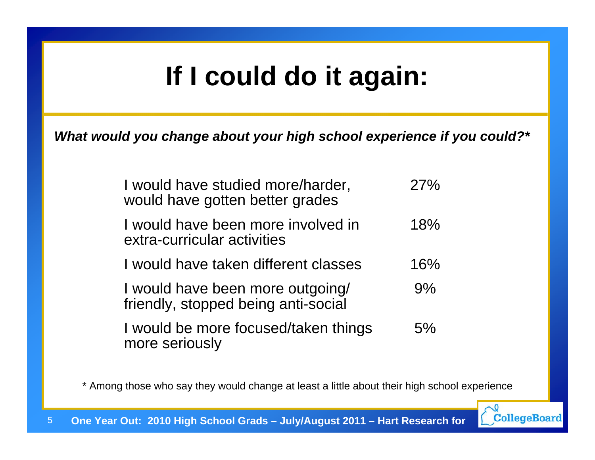# **If I could do it again:**

*What would you change about your high school experience if you could?\**

| I would have studied more/harder,<br>would have gotten better grades    | 27% |
|-------------------------------------------------------------------------|-----|
| I would have been more involved in<br>extra-curricular activities       | 18% |
| I would have taken different classes                                    | 16% |
| I would have been more outgoing/<br>friendly, stopped being anti-social | 9%  |
| I would be more focused/taken things<br>more seriously                  | 5%  |

\* Among those who say they would change at least a little about their high school experience

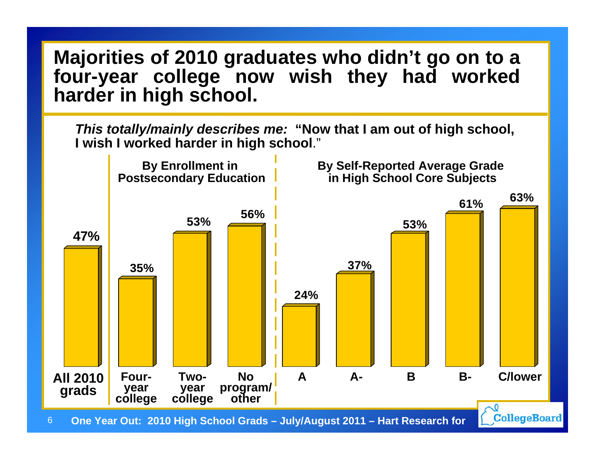#### **Majorities of 2010 graduates who didn't go on to a four-year college now wish they had worked harder in high school.**

*This totally/mainly describes me:* **"Now that I am out of high school, I wish I worked harder in high school**."

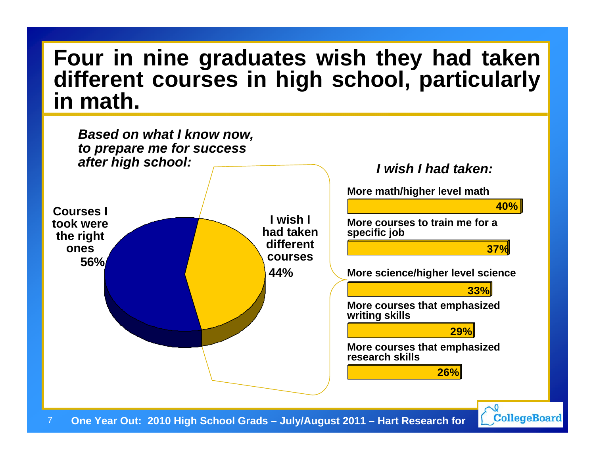## **Four in nine graduates wish they had taken different courses in high school, particularly in math.**



**CollegeBoard**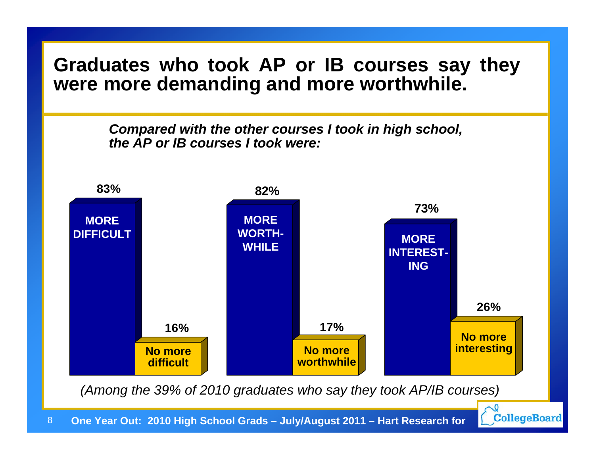#### **Graduates who took AP or IB courses say they were more demanding and more worthwhile.**

*Compared with the other courses I took in high school, the AP or IB courses I took were:*



*(Among the 39% of 2010 graduates who say they took AP/IB courses)*

CollegeBoard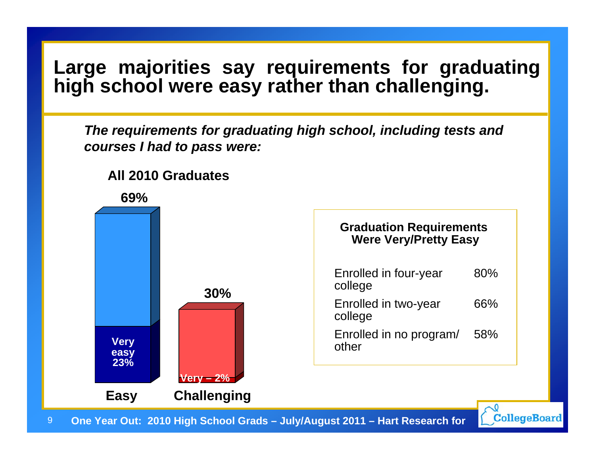#### **Large majorities say requirements for graduating high school were easy rather than challenging.**

*The requirements for graduating high school, including tests and courses I had to pass were:*



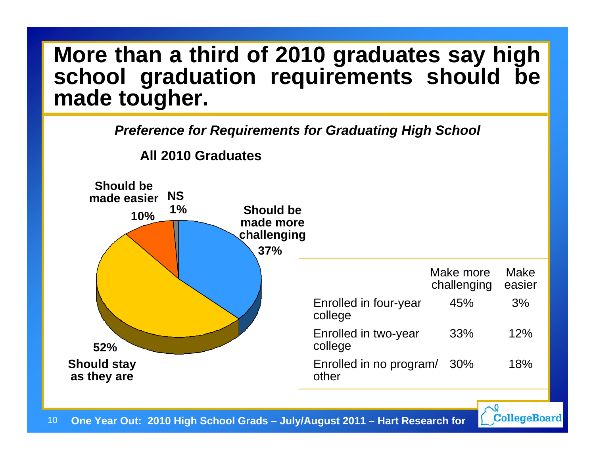# **More than a third of 2010 graduates say high school graduation requirements should be made tougher.**

*Preference for Requirements for Graduating High School*



CollegeBoard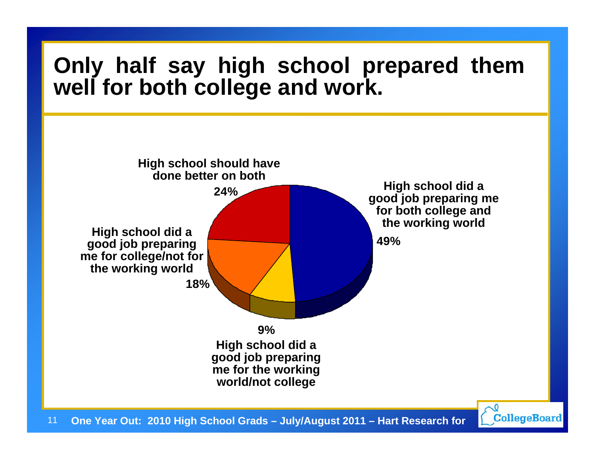# **Only half say high school prepared them well for both college and work.**

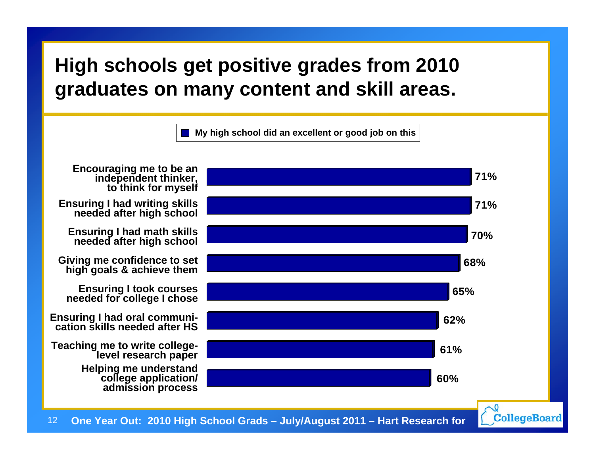### **High schools get positive grades from 2010 graduates on many content and skill areas.**



CollegeBoard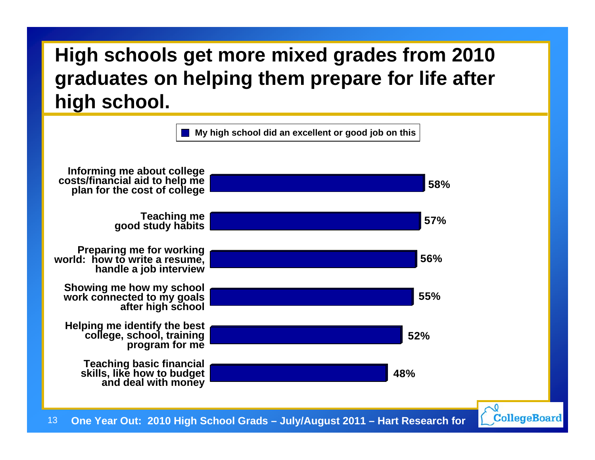# **High schools get more mixed grades from 2010 graduates on helping them prepare for life after high school.**

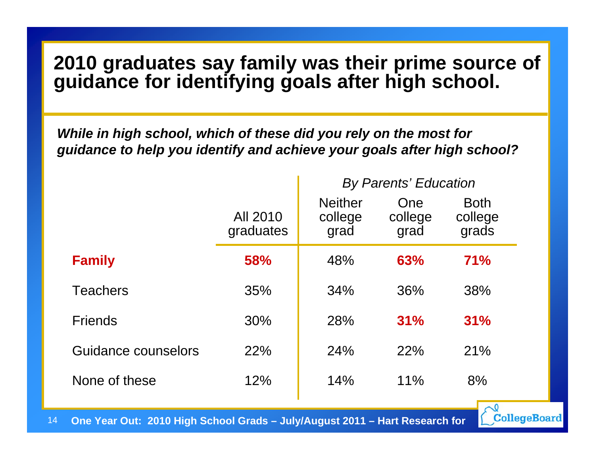#### **2010 graduates say family was their prime source of guidance for identifying goals after high school.**

*While in high school, which of these did you rely on the most for guidance to help you identify and achieve your goals after high school?*

|                     | All 2010<br>graduates | <b>Neither</b><br>college<br>grad | One<br>college<br>grad | <b>Both</b><br>college<br>grads |  |
|---------------------|-----------------------|-----------------------------------|------------------------|---------------------------------|--|
| <b>Family</b>       | 58%                   | 48%                               | 63%                    | 71%                             |  |
| <b>Teachers</b>     | 35%                   | 34%                               | 36%                    | 38%                             |  |
| <b>Friends</b>      | 30%                   | 28%                               | 31%                    | 31%                             |  |
| Guidance counselors | 22%                   | 24%                               | 22%                    | 21%                             |  |
| None of these       | 12%                   | 14%                               | 11%                    | 8%                              |  |

*By Parents' Education*

**CollegeBoard** 

14**One Year Out: 2010 High School Grads – July/August 2011 – Hart Research for**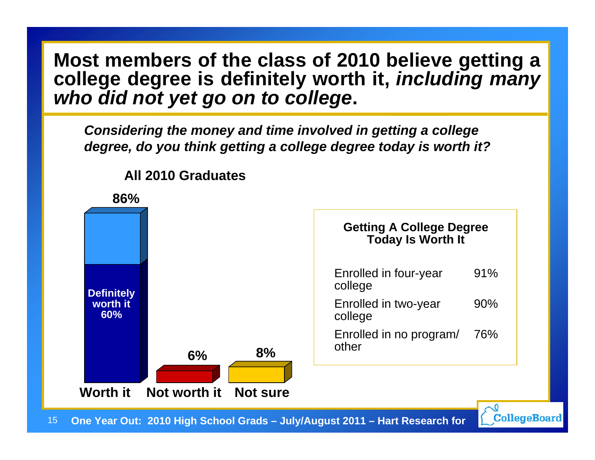#### **Most members of the class of 2010 believe getting a college degree is definitely worth it,** *including many who did not yet go on to college***.**

*Considering the money and time involved in getting a college degree, do you think getting a college degree today is worth it?*



**All 2010 Graduates**

15**One Year Out: 2010 High School Grads – July/August 2011 – Hart Research for**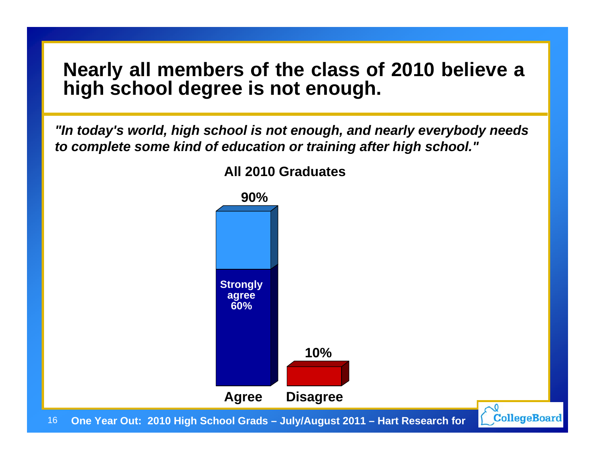#### **Nearly all members of the class of 2010 believe a high school degree is not enough.**

*"In today's world, high school is not enough, and nearly everybody needs to complete some kind of education or training after high school."*



**All 2010 Graduates**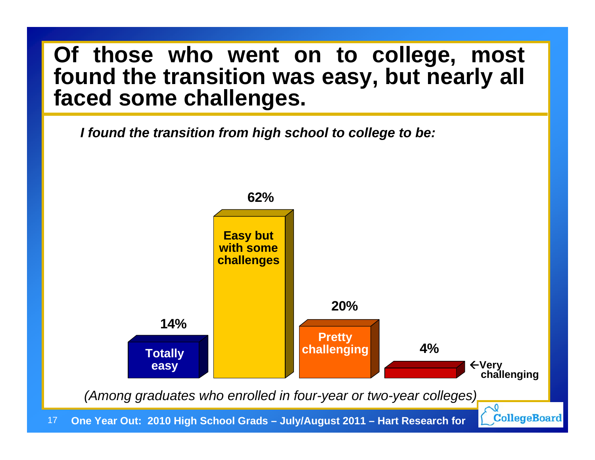## **Of those who went on to college, most found the transition was easy, but nearly all faced some challenges.**

*I found the transition from high school to college to be:*

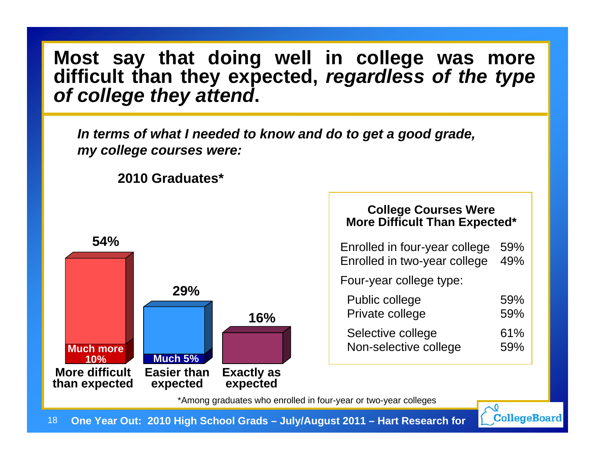**Most say that doing well in college was more difficult than they expected,** *regardless of the type of college they attend***.**

*In terms of what I needed to know and do to get a good grade, my college courses were:*

**2010 Graduates\***



| <b>College Courses Were</b><br><b>More Difficult Than Expected*</b> |     |  |  |  |
|---------------------------------------------------------------------|-----|--|--|--|
| Enrolled in four-year college                                       | 59% |  |  |  |
| Enrolled in two-year college                                        | 49% |  |  |  |
| Four-year college type:                                             |     |  |  |  |
| Public college                                                      | 59% |  |  |  |
| Private college                                                     | 59% |  |  |  |
| Selective college                                                   | 61% |  |  |  |
| Non-selective college                                               | 59% |  |  |  |

\*Among graduates who enrolled in four-year or two-year colleges

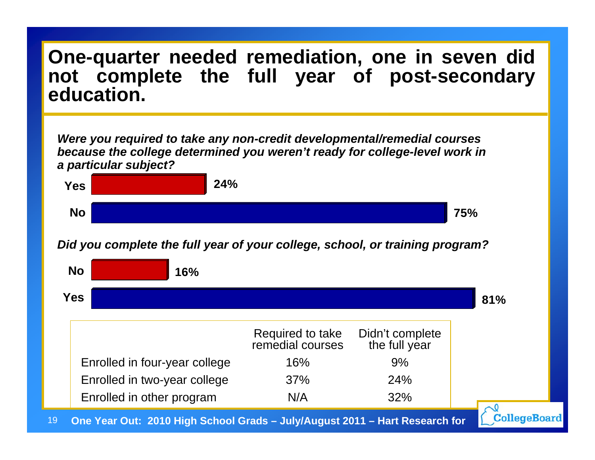#### **One-quarter needed remediation, one in seven did not complete the full year of post-secondary education.**

*Were you required to take any non-credit developmental/remedial courses because the college determined you weren't ready for college-level work in a particular subject?*



*Did you complete the full year of your college, school, or training program?*

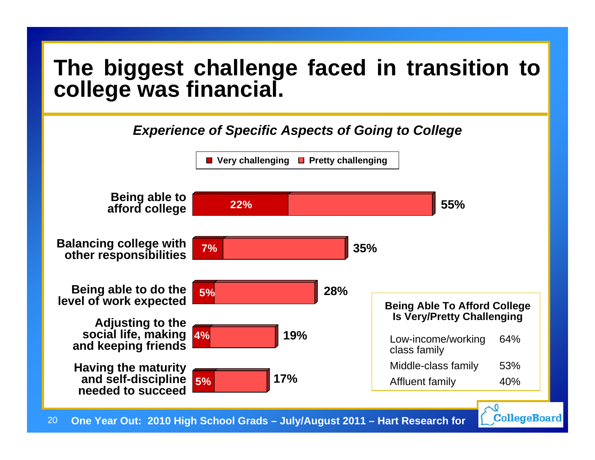# **The biggest challenge faced in transition to college was financial.**

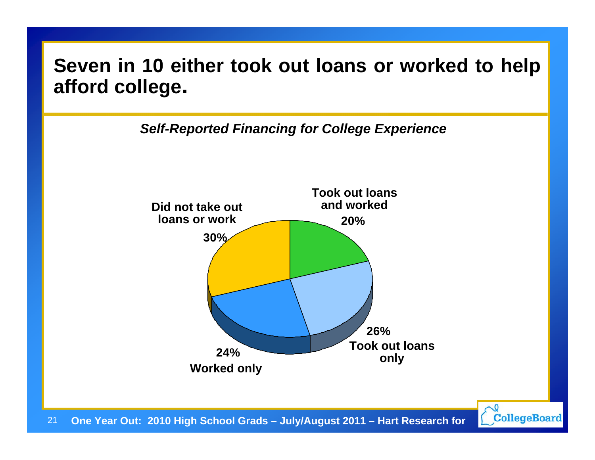#### **Seven in 10 either took out loans or worked to help afford college.**

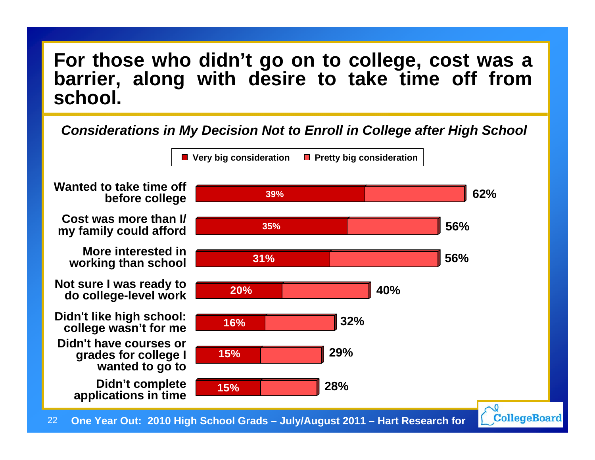#### **For those who didn't go on to college, cost was a barrier, along with desire to take time off from school.**

#### *Considerations in My Decision Not to Enroll in College after High School*

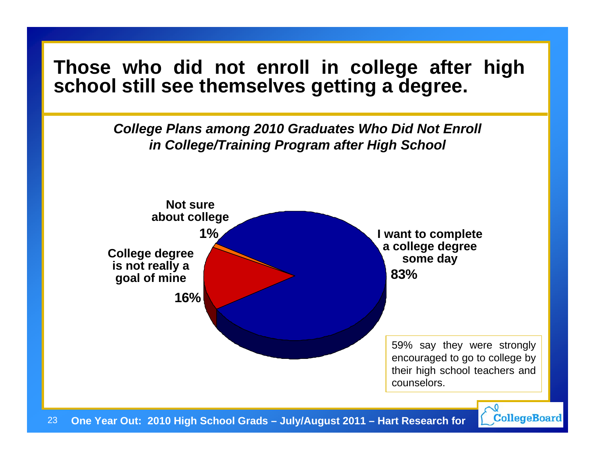#### **Those who did not enroll in college after high school still see themselves getting a degree.**

*College Plans among 2010 Graduates Who Did Not Enroll in College/Training Program after High School*



23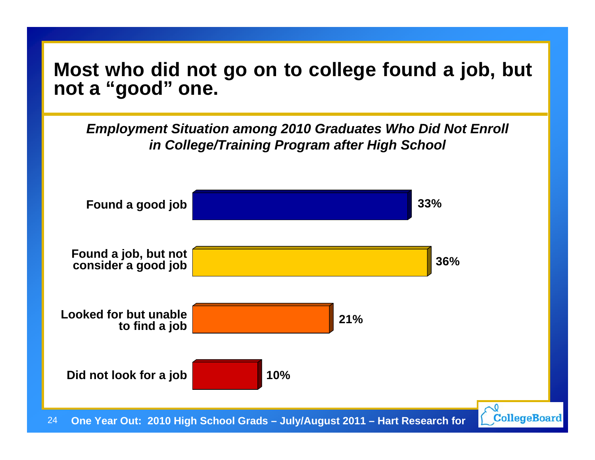#### **Most who did not go on to college found a job, but not a "good" one.**

*Employment Situation among 2010 Graduates Who Did Not Enroll in College/Training Program after High School*

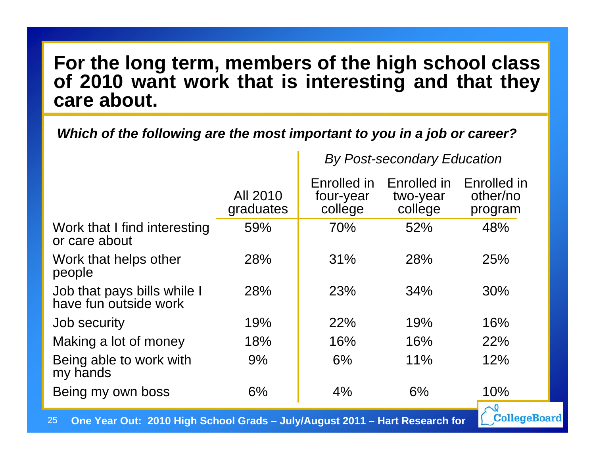#### **For the long term, members of the high school class of 2010 want work that is interesting and that they care about.**

*Which of the following are the most important to you in a job or career?*

*By Post-secondary Education*

CollegeBoard

|                                                      | All 2010<br>graduates | Enrolled in<br>four-year<br>college | Enrolled in<br>two-year<br>college | Enrolled in<br>other/no<br>program |
|------------------------------------------------------|-----------------------|-------------------------------------|------------------------------------|------------------------------------|
| Work that I find interesting<br>or care about        | 59%                   | 70%                                 | 52%                                | 48%                                |
| Work that helps other<br>people                      | 28%                   | 31%                                 | 28%                                | 25%                                |
| Job that pays bills while I<br>have fun outside work | 28%                   | 23%                                 | 34%                                | 30%                                |
| Job security                                         | 19%                   | 22%                                 | 19%                                | 16%                                |
| Making a lot of money                                | 18%                   | 16%                                 | 16%                                | 22%                                |
| Being able to work with<br>my hands                  | 9%                    | 6%                                  | 11%                                | 12%                                |
| Being my own boss                                    | 6%                    | 4%                                  | 6%                                 | 10%                                |
|                                                      |                       |                                     |                                    | $\sim$ <sup>0</sup>                |

25**One Year Out: 2010 High School Grads – July/August 2011 – Hart Research for**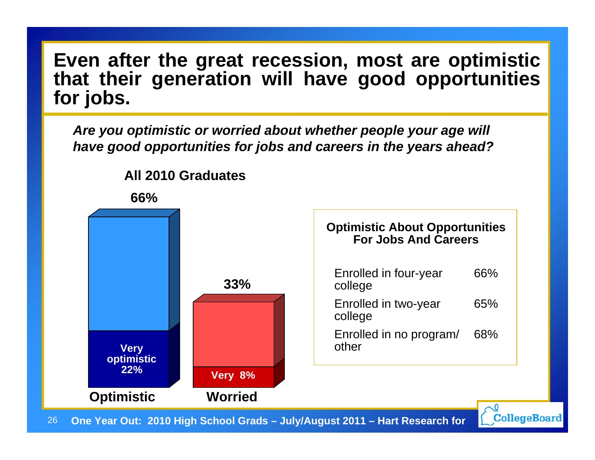**Even after the great recession, most are optimistic that their generation will have good opportunities for jobs.** 

*Are you optimistic or worried about whether people your age will have good opportunities for jobs and careers in the years ahead?*



**All 2010 Graduates**

26